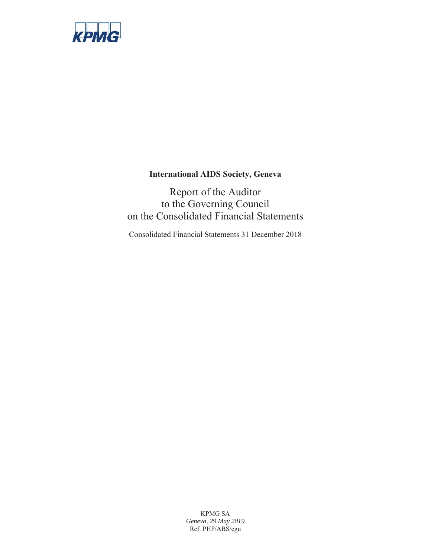

Report of the Auditor to the Governing Council on the Consolidated Financial Statements

Consolidated Financial Statements 31 December 2018

KPMG SA *Geneva, 29 May 2019* Ref. PHP/ABS/cgu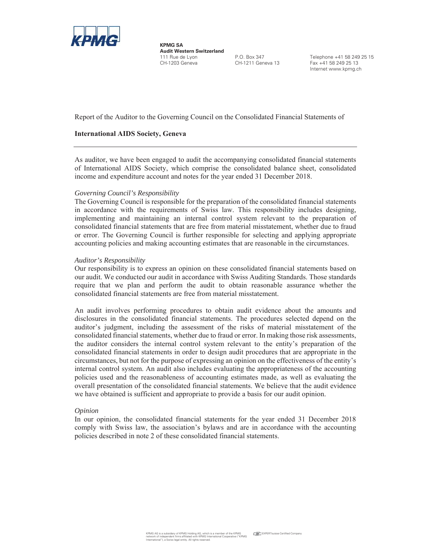

**KPMG SA Audit Western Switzerland**  111 Rue de Lyon P.O. Box 347 Telephone +41 58 249 25 15

Fax +41 58 249 25 13 Internet www.kpmg.ch

Report of the Auditor to the Governing Council on the Consolidated Financial Statements of

## **International AIDS Society, Geneva**

As auditor, we have been engaged to audit the accompanying consolidated financial statements of International AIDS Society, which comprise the consolidated balance sheet, consolidated income and expenditure account and notes for the year ended 31 December 2018.

## *Governing Council's Responsibility*

The Governing Council is responsible for the preparation of the consolidated financial statements in accordance with the requirements of Swiss law. This responsibility includes designing, implementing and maintaining an internal control system relevant to the preparation of consolidated financial statements that are free from material misstatement, whether due to fraud or error. The Governing Council is further responsible for selecting and applying appropriate accounting policies and making accounting estimates that are reasonable in the circumstances.

### *Auditor's Responsibility*

Our responsibility is to express an opinion on these consolidated financial statements based on our audit. We conducted our audit in accordance with Swiss Auditing Standards. Those standards require that we plan and perform the audit to obtain reasonable assurance whether the consolidated financial statements are free from material misstatement.

An audit involves performing procedures to obtain audit evidence about the amounts and disclosures in the consolidated financial statements. The procedures selected depend on the auditor's judgment, including the assessment of the risks of material misstatement of the consolidated financial statements, whether due to fraud or error. In making those risk assessments, the auditor considers the internal control system relevant to the entity's preparation of the consolidated financial statements in order to design audit procedures that are appropriate in the circumstances, but not for the purpose of expressing an opinion on the effectiveness of the entity's internal control system. An audit also includes evaluating the appropriateness of the accounting policies used and the reasonableness of accounting estimates made, as well as evaluating the overall presentation of the consolidated financial statements. We believe that the audit evidence we have obtained is sufficient and appropriate to provide a basis for our audit opinion.

### *Opinion*

In our opinion, the consolidated financial statements for the year ended 31 December 2018 comply with Swiss law, the association's bylaws and are in accordance with the accounting policies described in note 2 of these consolidated financial statements.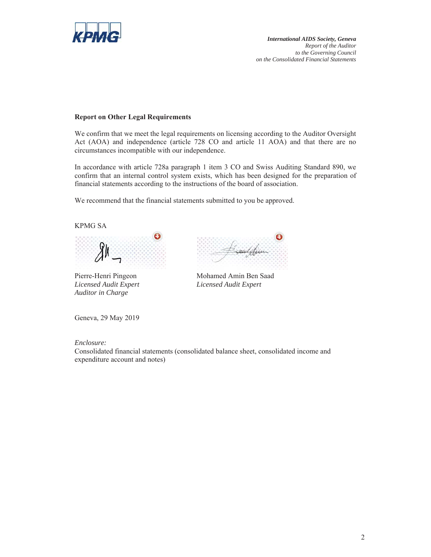

## **Report on Other Legal Requirements**

We confirm that we meet the legal requirements on licensing according to the Auditor Oversight Act (AOA) and independence (article 728 CO and article 11 AOA) and that there are no circumstances incompatible with our independence.

In accordance with article 728a paragraph 1 item 3 CO and Swiss Auditing Standard 890, we confirm that an internal control system exists, which has been designed for the preparation of financial statements according to the instructions of the board of association.

We recommend that the financial statements submitted to you be approved.

KPMG SA



Pierre-Henri Pingeon Mohamed Amin Ben Saad *Licensed Audit Expert Licensed Audit Expert Auditor in Charge*

Geneva, 29 May 2019

*Enclosure:*

Consolidated financial statements (consolidated balance sheet, consolidated income and expenditure account and notes)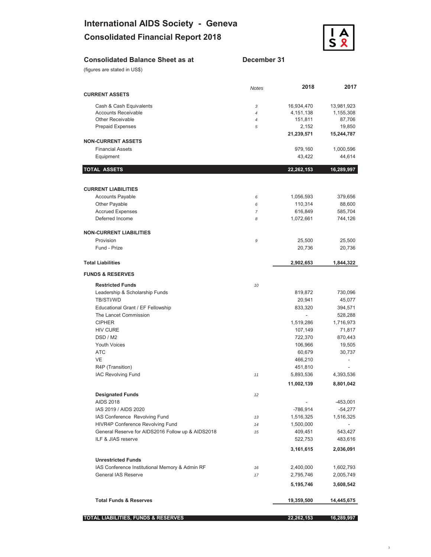# **Consolidated Financial Report 2018**



| <b>Consolidated Balance Sheet as at</b><br>(figures are stated in US\$) | December 31    |                  |                          |
|-------------------------------------------------------------------------|----------------|------------------|--------------------------|
|                                                                         | <b>Notes</b>   | 2018             | 2017                     |
| <b>CURRENT ASSETS</b>                                                   |                |                  |                          |
| Cash & Cash Equivalents                                                 | 3              | 16,934,470       | 13,981,923               |
| <b>Accounts Receivable</b>                                              | $\overline{4}$ | 4, 151, 138      | 1,155,308                |
| Other Receivable                                                        | $\overline{4}$ | 151,811          | 87,706                   |
| <b>Prepaid Expenses</b>                                                 | 5              | 2,152            | 19,850                   |
| <b>NON-CURRENT ASSETS</b>                                               |                | 21,239,571       | 15,244,787               |
| <b>Financial Assets</b>                                                 |                | 979,160          | 1,000,596                |
| Equipment                                                               |                | 43,422           | 44,614                   |
| <b>TOTAL ASSETS</b>                                                     |                | 22,262,153       | 16,289,997               |
|                                                                         |                |                  |                          |
| <b>CURRENT LIABILITIES</b>                                              |                |                  |                          |
| <b>Accounts Payable</b>                                                 | 6              | 1,056,593        | 379,656                  |
| Other Payable                                                           | 6              | 110,314          | 88,600                   |
| <b>Accrued Expenses</b>                                                 | $\overline{7}$ | 616,849          | 585,704                  |
| Deferred Income                                                         | 8              | 1,072,661        | 744,126                  |
|                                                                         |                |                  |                          |
| <b>NON-CURRENT LIABILITIES</b>                                          |                |                  |                          |
| Provision<br>Fund - Prize                                               | 9              | 25,500<br>20,736 | 25,500<br>20,736         |
|                                                                         |                |                  |                          |
| <b>Total Liabilities</b>                                                |                | 2,902,653        | 1,844,322                |
| <b>FUNDS &amp; RESERVES</b>                                             |                |                  |                          |
| <b>Restricted Funds</b>                                                 | 10             |                  |                          |
| Leadership & Scholarship Funds                                          |                | 819,872          | 730,096                  |
| TB/STI/WD                                                               |                | 20,941           | 45,077                   |
| Educational Grant / EF Fellowship                                       |                | 833,320          | 394,571                  |
| The Lancet Commission                                                   |                | L                | 528,288                  |
| <b>CIPHER</b>                                                           |                | 1,519,286        | 1,716,973                |
| <b>HIV CURE</b>                                                         |                | 107,149          | 71,817                   |
| DSD / M2                                                                |                | 722,370          | 870,443                  |
| <b>Youth Voices</b>                                                     |                | 106,966          | 19,505                   |
| <b>ATC</b>                                                              |                | 60,679           | 30,737                   |
| VE                                                                      |                | 466,210          | $\overline{\phantom{a}}$ |
| R4P (Transition)                                                        |                | 451,810          |                          |
| <b>IAC Revolving Fund</b>                                               | 11             | 5,893,536        | 4,393,536                |
|                                                                         |                | 11,002,139       | 8,801,042                |
| <b>Designated Funds</b>                                                 | 12             |                  |                          |
| <b>AIDS 2018</b>                                                        |                |                  | $-453,001$               |
| IAS 2019 / AIDS 2020                                                    |                | $-786,914$       | $-54,277$                |
| IAS Conference Revolving Fund                                           | 13             | 1,516,325        | 1,516,325                |
| HIVR4P Conference Revolving Fund                                        | 14             | 1,500,000        |                          |
| General Reserve for AIDS2016 Follow up & AIDS2018                       | 15             | 409,451          | 543,427                  |
| ILF & JIAS reserve                                                      |                | 522,753          | 483,616                  |
|                                                                         |                | 3,161,615        | 2,036,091                |
| <b>Unrestricted Funds</b>                                               |                |                  |                          |
| IAS Conference Institutional Memory & Admin RF                          | 16             | 2,400,000        | 1,602,793                |
| <b>General IAS Reserve</b>                                              | 17             | 2,795,746        | 2,005,749                |
|                                                                         |                | 5,195,746        | 3,608,542                |
| <b>Total Funds &amp; Reserves</b>                                       |                | 19,359,500       | 14,445,675               |
|                                                                         |                |                  |                          |
| TOTAL LIABILITIES, FUNDS & RESERVES                                     |                | 22,262,153       | 16,289,997               |

3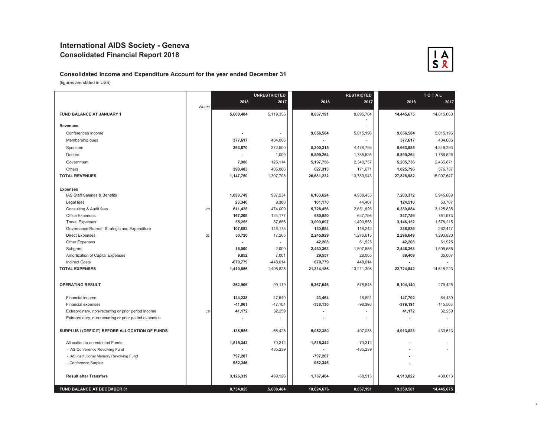

# **Consolidated Income and Expenditure Account for the year ended December 31**

(figures are stated in US\$)

|                                                       |       |            | <b>UNRESTRICTED</b> |              | <b>RESTRICTED</b> |            | TOTAL      |
|-------------------------------------------------------|-------|------------|---------------------|--------------|-------------------|------------|------------|
|                                                       | Notes | 2018       | 2017                | 2018         | 2017              | 2018       | 2017       |
| FUND BALANCE AT JANUARY 1                             |       | 5,608,484  | 5,119,356           | 8,837,191    | 8,895,704         | 14,445,675 | 14,015,060 |
| <b>Revenues</b>                                       |       |            |                     |              |                   |            |            |
| Conferences Income                                    |       | ÷,         |                     | 9,656,584    | 5,015,196         | 9,656,584  | 5,015,196  |
| Membership dues                                       |       | 377,617    | 404,006             |              |                   | 377,617    | 404,006    |
| Sponsors                                              |       | 363,670    | 372,500             | 5,300,315    | 4,476,793         | 5,663,985  | 4,849,293  |
| Donors                                                |       |            | 1,000               | 5,899,264    | 1,785,526         | 5,899,264  | 1,786,526  |
| Government                                            |       | 7,980      | 125,114             | 5,197,756    | 2,340,757         | 5,205,736  | 2,465,871  |
| Others                                                |       | 398,483    | 405,086             | 627,313      | 171,671           | 1,025,796  | 576,757    |
| <b>TOTAL REVENUES</b>                                 |       | 1,147,750  | 1,307,705           | 26,681,232   | 13,789,943        | 27,828,982 | 15,097,647 |
| <b>Expenses</b>                                       |       |            |                     |              |                   |            |            |
| IAS Staff Salaries & Benefits                         |       | 1,039,749  | 987,234             | 6,163,624    | 4,958,455         | 7,203,372  | 5,945,689  |
| Legal fees                                            |       | 23,340     | 9,380               | 101,170      | 44,407            | 124,510    | 53,787     |
| Consulting & Audit fees                               | 20    | 611,428    | 474,009             | 5,728,456    | 2,651,826         | 6,339,884  | 3,125,835  |
| Office Expenses                                       |       | 167,209    | 124,177             | 680,550      | 627,796           | 847,759    | 751,973    |
| <b>Travel Expenses</b>                                |       | 55,255     | 87,656              | 3,090,897    | 1,490,558         | 3,146,152  | 1,578,215  |
| Governance Retreat, Strategic and Expenditure         |       | 107,882    | 146,175             | 130,654      | 116,242           | 238,536    | 262,417    |
| <b>Direct Expenses</b>                                | 21    | 50,720     | 17,205              | 2,245,929    | 1,276,615         | 2,296,649  | 1,293,820  |
| <b>Other Expenses</b>                                 |       | ÷.         |                     | 42,208       | 61,925            | 42,208     | 61,925     |
| Subgrant                                              |       | 16,000     | 2,000               | 2,430,363    | 1,507,555         | 2,446,363  | 1,509,555  |
| Amortization of Capital Expenses                      |       | 9,852      | 7,001               | 29,557       | 28,005            | 39,409     | 35,007     |
| <b>Indirect Costs</b>                                 |       | $-670,779$ | $-448,014$          | 670,779      | 448,014           | ä,         |            |
| <b>TOTAL EXPENSES</b>                                 |       | 1,410,656  | 1,406,825           | 21,314,186   | 13,211,398        | 22,724,842 | 14,618,223 |
| <b>OPERATING RESULT</b>                               |       | $-262,906$ | $-99,119$           | 5,367,046    | 578,545           | 5,104,140  | 479,425    |
| Financial income                                      |       | 124,238    | 47,540              | 23,464       | 16,891            | 147,702    | 64,430     |
| <b>Financial expenses</b>                             |       | -41,061    | $-47,104$           | $-338,130$   | $-98,398$         | $-379,191$ | $-145,503$ |
| Extraordinary, non-recurring or prior period income   | 19    | 41,172     | 32,259              |              |                   | 41,172     | 32,259     |
| Extraordinary, non-recurring or prior period expenses |       | ÷,         |                     |              |                   |            |            |
| SURPLUS / (DEFICIT) BEFORE ALLOCATION OF FUNDS        |       | $-138,556$ | $-66,425$           | 5,052,380    | 497,038           | 4,913,823  | 430,613    |
| Allocation to unrestricted Funds                      |       | 1,515,342  | 70,312              | $-1,515,342$ | $-70,312$         |            |            |
| - IAS Conference Revolving Fund                       |       | $\sim$     | 485,239             |              | $-485,239$        |            |            |
| - IAS Institutional Memory Revolving Fund             |       | 797,207    |                     | -797,207     |                   |            |            |
| - Conference Surplus                                  |       | 952,346    |                     | $-952,346$   |                   |            |            |
| <b>Result after Transfers</b>                         |       | 3,126,339  | 489,126             | 1,787,484    | $-58,513$         | 4,913,822  | 430,613    |
| FUND BALANCE AT DECEMBER 31                           |       | 8,734,825  | 5,608,484           | 10,624,676   | 8,837,191         | 19,359,501 | 14,445,675 |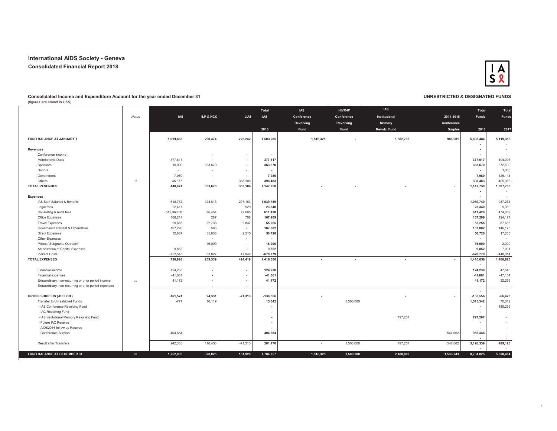

5

# Consolidated Income and Expenditure Account for the year ended December 31 **December 2012**<br>(figures are stated in US\$)

| 2018<br>Fund<br>Fund<br>Revolv. Fund<br><b>Surplus</b><br>2018<br>FUND BALANCE AT JANUARY 1<br>1,019,668<br>260,374<br>223,242<br>1,503,285<br>1,516,325<br>1,602,793<br>986,081<br>5,608,484<br><b>Revenues</b><br>×.<br>Conference Income<br>٠<br>٠<br>377,617<br>377,617<br>Membership Dues<br>377,617<br>٠<br>٠<br>353,670<br>Sponsors<br>10,000<br>363,670<br>363,670<br>$\sim$<br>Donors<br>$\sim$<br>$\sim$<br>$\overline{\phantom{a}}$<br>٠<br>$\overline{\phantom{a}}$<br>7,980<br>7,980<br>7,980<br>Government<br>$\overline{\phantom{a}}$<br>$\sim$<br>45,377<br>353,106<br>398,483<br>398,483<br>Others<br>$18\,$<br>×<br><b>TOTAL REVENUES</b><br>440,974<br>353,670<br>353,106<br>1,147,750<br>1,147,750<br>$\overline{\phantom{a}}$<br>٠<br><b>Expenses</b><br>. .<br>123,813<br>1,039,749<br>IAS Staff Salaries & Benefits<br>618,752<br>297,183<br>1,039,749<br>Legal fees<br>22,411<br>929<br>23,340<br>23,340<br>$\sim$ | $($ ngaroo aro olaloo in Oo $\varphi$ | Notes | <b>IAS</b> | ILF & HCC | <b>JIAS</b> | Total<br><b>IAS</b> | <b>IAS</b><br>Conference | HIVR4P<br>Conference | <b>IAS</b><br>Institutional | 2014-2018  | Total<br>Funds | Tota<br>Funds    |
|--------------------------------------------------------------------------------------------------------------------------------------------------------------------------------------------------------------------------------------------------------------------------------------------------------------------------------------------------------------------------------------------------------------------------------------------------------------------------------------------------------------------------------------------------------------------------------------------------------------------------------------------------------------------------------------------------------------------------------------------------------------------------------------------------------------------------------------------------------------------------------------------------------------------------------------------|---------------------------------------|-------|------------|-----------|-------------|---------------------|--------------------------|----------------------|-----------------------------|------------|----------------|------------------|
|                                                                                                                                                                                                                                                                                                                                                                                                                                                                                                                                                                                                                                                                                                                                                                                                                                                                                                                                            |                                       |       |            |           |             |                     | Revolving                | Revolving            | Memory                      | Conference |                | 2017             |
|                                                                                                                                                                                                                                                                                                                                                                                                                                                                                                                                                                                                                                                                                                                                                                                                                                                                                                                                            |                                       |       |            |           |             |                     |                          |                      |                             |            |                | 5,119,356        |
|                                                                                                                                                                                                                                                                                                                                                                                                                                                                                                                                                                                                                                                                                                                                                                                                                                                                                                                                            |                                       |       |            |           |             |                     |                          |                      |                             |            |                | $\sim$           |
|                                                                                                                                                                                                                                                                                                                                                                                                                                                                                                                                                                                                                                                                                                                                                                                                                                                                                                                                            |                                       |       |            |           |             |                     |                          |                      |                             |            |                |                  |
|                                                                                                                                                                                                                                                                                                                                                                                                                                                                                                                                                                                                                                                                                                                                                                                                                                                                                                                                            |                                       |       |            |           |             |                     |                          |                      |                             |            |                | 404,006          |
|                                                                                                                                                                                                                                                                                                                                                                                                                                                                                                                                                                                                                                                                                                                                                                                                                                                                                                                                            |                                       |       |            |           |             |                     |                          |                      |                             |            |                | 372,500          |
|                                                                                                                                                                                                                                                                                                                                                                                                                                                                                                                                                                                                                                                                                                                                                                                                                                                                                                                                            |                                       |       |            |           |             |                     |                          |                      |                             |            |                | 1,000            |
|                                                                                                                                                                                                                                                                                                                                                                                                                                                                                                                                                                                                                                                                                                                                                                                                                                                                                                                                            |                                       |       |            |           |             |                     |                          |                      |                             |            |                | 125,114          |
|                                                                                                                                                                                                                                                                                                                                                                                                                                                                                                                                                                                                                                                                                                                                                                                                                                                                                                                                            |                                       |       |            |           |             |                     |                          |                      |                             |            |                | 405,086          |
|                                                                                                                                                                                                                                                                                                                                                                                                                                                                                                                                                                                                                                                                                                                                                                                                                                                                                                                                            |                                       |       |            |           |             |                     |                          |                      |                             |            |                | 1,307,705        |
|                                                                                                                                                                                                                                                                                                                                                                                                                                                                                                                                                                                                                                                                                                                                                                                                                                                                                                                                            |                                       |       |            |           |             |                     |                          |                      |                             |            |                | $\sim$           |
|                                                                                                                                                                                                                                                                                                                                                                                                                                                                                                                                                                                                                                                                                                                                                                                                                                                                                                                                            |                                       |       |            |           |             |                     |                          |                      |                             |            |                | $\sim$           |
|                                                                                                                                                                                                                                                                                                                                                                                                                                                                                                                                                                                                                                                                                                                                                                                                                                                                                                                                            |                                       |       |            |           |             |                     |                          |                      |                             |            |                | 987,234          |
|                                                                                                                                                                                                                                                                                                                                                                                                                                                                                                                                                                                                                                                                                                                                                                                                                                                                                                                                            |                                       |       |            |           |             |                     |                          |                      |                             |            |                | 9,380            |
|                                                                                                                                                                                                                                                                                                                                                                                                                                                                                                                                                                                                                                                                                                                                                                                                                                                                                                                                            | Consulting & Audit fees               |       | 512,368.50 | 26,454    | 72,605      | 611,428             |                          |                      |                             |            | 611,428        | 474,009          |
| Office Expenses<br>166,214<br>287<br>708<br>167,209<br>167,209                                                                                                                                                                                                                                                                                                                                                                                                                                                                                                                                                                                                                                                                                                                                                                                                                                                                             |                                       |       |            |           |             |                     |                          |                      |                             |            |                | 124,177          |
| 22,733<br>2,837<br><b>Travel Expenses</b><br>29,685<br>55,255<br>55,255                                                                                                                                                                                                                                                                                                                                                                                                                                                                                                                                                                                                                                                                                                                                                                                                                                                                    |                                       |       |            |           |             |                     |                          |                      |                             |            |                | 87,656           |
| 107,296<br>586<br>Governance Retreat & Expenditure<br>107,882<br>107,882<br>$\sim$                                                                                                                                                                                                                                                                                                                                                                                                                                                                                                                                                                                                                                                                                                                                                                                                                                                         |                                       |       |            |           |             |                     |                          |                      |                             |            |                | 146,175          |
| <b>Direct Expenses</b><br>12,867<br>35,638<br>2,215<br>50,720<br>50,720                                                                                                                                                                                                                                                                                                                                                                                                                                                                                                                                                                                                                                                                                                                                                                                                                                                                    |                                       |       |            |           |             |                     |                          |                      |                             |            |                | 17,205           |
| Other Expenses<br>$\sim$<br>$\sim$<br>۰.<br>۰.                                                                                                                                                                                                                                                                                                                                                                                                                                                                                                                                                                                                                                                                                                                                                                                                                                                                                             |                                       |       |            |           |             |                     |                          |                      |                             |            |                |                  |
| 16,000<br>16,000<br>16,000<br>Prizes / Subgrant / Outreach<br>$\overline{\phantom{a}}$<br>$\sim$                                                                                                                                                                                                                                                                                                                                                                                                                                                                                                                                                                                                                                                                                                                                                                                                                                           |                                       |       |            |           |             |                     |                          |                      |                             |            |                | 2,000            |
| Amortization of Capital Expenses<br>9,852<br>9,852<br>9,852<br>٠<br>$\sim$                                                                                                                                                                                                                                                                                                                                                                                                                                                                                                                                                                                                                                                                                                                                                                                                                                                                 |                                       |       |            |           |             |                     |                          |                      |                             |            |                | 7,001            |
| $-752,548$<br>33,827<br>47,942<br>$-670,779$<br>$-670,779$<br><b>Indirect Costs</b>                                                                                                                                                                                                                                                                                                                                                                                                                                                                                                                                                                                                                                                                                                                                                                                                                                                        |                                       |       |            |           |             |                     |                          |                      |                             |            |                | $-448,014$       |
| <b>TOTAL EXPENSES</b><br>726,898<br>259,339<br>424,419<br>1,410,656<br>1,410,656<br>$\overline{\phantom{a}}$                                                                                                                                                                                                                                                                                                                                                                                                                                                                                                                                                                                                                                                                                                                                                                                                                               |                                       |       |            |           |             |                     |                          |                      |                             |            |                | 1,406,825        |
| 124,238<br>124,238<br>124,238<br>Financial income<br>$\sim$                                                                                                                                                                                                                                                                                                                                                                                                                                                                                                                                                                                                                                                                                                                                                                                                                                                                                |                                       |       |            |           |             |                     |                          |                      |                             |            |                | $\sim$<br>47,540 |
| $-41,061$<br>Financial expenses<br>$-41,061$<br>$-41,061$<br>$\sim$<br>٠                                                                                                                                                                                                                                                                                                                                                                                                                                                                                                                                                                                                                                                                                                                                                                                                                                                                   |                                       |       |            |           |             |                     |                          |                      |                             |            |                | $-47,104$        |
| 41,172<br>41,172<br>41,172<br>Extraordinary, non-recurring or prior period income<br>$19$<br>٠<br>$\overline{\phantom{a}}$                                                                                                                                                                                                                                                                                                                                                                                                                                                                                                                                                                                                                                                                                                                                                                                                                 |                                       |       |            |           |             |                     |                          |                      |                             |            |                | 32,259           |
| Extraordinary, non-recurring or prior period expenses<br>$\sim$<br>×<br>$\overline{\phantom{a}}$<br>$\sim$<br>$\sim$                                                                                                                                                                                                                                                                                                                                                                                                                                                                                                                                                                                                                                                                                                                                                                                                                       |                                       |       |            |           |             |                     |                          |                      |                             |            |                | $\sim$           |
| $\sim$                                                                                                                                                                                                                                                                                                                                                                                                                                                                                                                                                                                                                                                                                                                                                                                                                                                                                                                                     |                                       |       |            |           |             |                     |                          |                      |                             |            |                | $\sim$           |
| 94,331<br>$-138,556$<br><b>GROSS SURPLUS (-DEFICIT)</b><br>$-161,574$<br>$-71,313$<br>$-138,556$<br>٠                                                                                                                                                                                                                                                                                                                                                                                                                                                                                                                                                                                                                                                                                                                                                                                                                                      |                                       |       |            |           |             |                     |                          |                      |                             |            |                | $-66,425$        |
| $-777$<br>1,500,000<br>Transfer to Unrestricted Funds<br>16,119<br>15,342<br>1,515,342                                                                                                                                                                                                                                                                                                                                                                                                                                                                                                                                                                                                                                                                                                                                                                                                                                                     |                                       |       |            |           |             |                     |                          |                      |                             |            |                | 70,312           |
| - IAS Conference Revolving Fund<br>٠                                                                                                                                                                                                                                                                                                                                                                                                                                                                                                                                                                                                                                                                                                                                                                                                                                                                                                       |                                       |       |            |           |             |                     |                          |                      |                             |            |                | 485,239          |
| - IAC Revolving Fund<br>$\sim$<br>$\sim$                                                                                                                                                                                                                                                                                                                                                                                                                                                                                                                                                                                                                                                                                                                                                                                                                                                                                                   |                                       |       |            |           |             |                     |                          |                      |                             |            |                |                  |
| - IAS Institutional Memory Revolving Fund<br>797,207<br>797,207<br>$\sim$                                                                                                                                                                                                                                                                                                                                                                                                                                                                                                                                                                                                                                                                                                                                                                                                                                                                  |                                       |       |            |           |             |                     |                          |                      |                             |            |                | $\sim$           |
| - Future IAC Reserve<br>$\overline{\phantom{a}}$<br>٠                                                                                                                                                                                                                                                                                                                                                                                                                                                                                                                                                                                                                                                                                                                                                                                                                                                                                      |                                       |       |            |           |             |                     |                          |                      |                             |            |                |                  |
| - AIDS2016 follow up Reserve<br>$\sim$<br>$\sim$                                                                                                                                                                                                                                                                                                                                                                                                                                                                                                                                                                                                                                                                                                                                                                                                                                                                                           |                                       |       |            |           |             |                     |                          |                      |                             |            |                |                  |
| - Conference Surplus<br>404,684<br>404,684<br>547,662<br>952,346                                                                                                                                                                                                                                                                                                                                                                                                                                                                                                                                                                                                                                                                                                                                                                                                                                                                           |                                       |       |            |           |             |                     |                          |                      |                             |            |                | $\sim$           |
|                                                                                                                                                                                                                                                                                                                                                                                                                                                                                                                                                                                                                                                                                                                                                                                                                                                                                                                                            |                                       |       |            |           |             |                     |                          |                      |                             |            |                |                  |
| 242,333<br>110,450<br>$-71,313$<br>281,470<br>1,500,000<br>797,207<br>547,662<br>3,126,339<br><b>Result after Transfers</b>                                                                                                                                                                                                                                                                                                                                                                                                                                                                                                                                                                                                                                                                                                                                                                                                                |                                       |       |            |           |             |                     |                          |                      |                             |            |                | 489,126          |
| FUND BALANCE AT DECEMBER 31<br>1,262,003<br>370,825<br>151,929<br>1,516,325<br>1,500,000<br>2,400,000<br>1,533,743<br>8,734,825<br>17 <sub>z</sub><br>1,784,757                                                                                                                                                                                                                                                                                                                                                                                                                                                                                                                                                                                                                                                                                                                                                                            |                                       |       |            |           |             |                     |                          |                      |                             |            |                | 5,608,484        |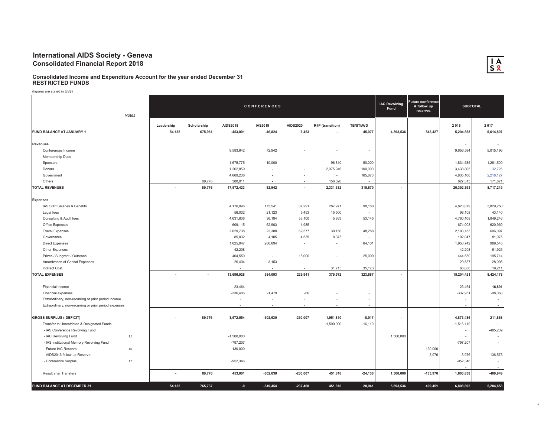# **Consolidated Income and Expenditure Account for the year ended December 31 RESTRICTED FUNDS**

(figures are stated in US\$)

| Notes                                                 |            |             |                          | <b>CONFERENCES</b> |                 |                          |                          | <b>IAC Revolving</b><br>Fund | <b>Future conference</b><br>& follow up<br>reserves | <b>SUBTOTAL</b>          |            |
|-------------------------------------------------------|------------|-------------|--------------------------|--------------------|-----------------|--------------------------|--------------------------|------------------------------|-----------------------------------------------------|--------------------------|------------|
|                                                       | Leadership | Scholarship | <b>AIDS2018</b>          | <b>IAS2019</b>     | <b>AIDS2020</b> | R4P (transition)         | TB/STI/WD                |                              |                                                     | 2018                     | 2017       |
| FUND BALANCE AT JANUARY 1                             | 54,135     | 675,961     | $-453,001$               | $-46,824$          | $-7,453$        | $\sim$                   | 45,077                   | 4,393,536                    | 543,427                                             | 5,204,858                | 5,614,807  |
| <b>Revenues</b>                                       |            |             |                          |                    |                 |                          |                          |                              |                                                     |                          | $\sim$     |
| Conferences Income                                    |            |             | 9,583,642                | 72,942             |                 |                          | $\sim$                   |                              |                                                     | 9,656,584                | 5,015,196  |
| Membership Dues                                       |            |             | $\sim$                   | $\sim$             |                 |                          | ÷,                       |                              |                                                     |                          |            |
| Sponsors                                              |            |             | 1,675,775                | 10,000             |                 | 98,810                   | 50,000                   |                              |                                                     | 1,834,585                | 1,281,500  |
| Donors                                                |            |             | 1,262,859                |                    |                 | 2,075,946                | 100,000                  |                              |                                                     | 3,438,805                | 32,725     |
| Government                                            |            |             | 4,669,236                |                    |                 | $\sim$                   | 165,870                  |                              |                                                     | 4,835,106                | 2,216,127  |
| Others                                                |            | 89,776      | 380.911                  |                    |                 | 156,626                  |                          |                              |                                                     | 627.313                  | 171,671    |
| <b>TOTAL REVENUES</b>                                 |            | 89,776      | 17,572,423               | 82.942             |                 | 2,331,382                | 315,870                  |                              |                                                     | 20,392,393               | 8,717,219  |
| <b>Expenses</b>                                       |            |             |                          |                    |                 |                          |                          |                              |                                                     |                          |            |
| IAS Staff Salaries & Benefits                         |            |             | 4,176,096                | 173,541            | 87,291          | 287,971                  | 98,180                   |                              |                                                     | 4,823,079                | 3,829,250  |
| Legal fees                                            |            |             | 56,032                   | 21,123             | 5,453           | 15,500                   | $\overline{\phantom{a}}$ |                              |                                                     | 98,108                   | 43,140     |
| Consulting & Audit fees                               |            |             | 4,631,806                | 36,194             | 53,100          | 5,863                    | 53,145                   |                              |                                                     | 4,780,108                | 1,949,246  |
| Office Expenses                                       |            |             | 609,115                  | 62,903             | 1,985           | $\sim$                   | $\overline{\phantom{a}}$ |                              |                                                     | 674,003                  | 620,969    |
| <b>Travel Expenses</b>                                |            |             | 2,029,738                | 22,380             | 62,577          | 30,150                   | 48,288                   |                              |                                                     | 2,193,133                | 606,097    |
| Governance                                            |            |             | 85,032                   | 4,105              | 4,535           | 8,375                    | $\overline{\phantom{a}}$ |                              |                                                     | 102,047                  | 81,075     |
| <b>Direct Expenses</b>                                |            |             | 1,625,947                | 260,694            |                 | $\sim$                   | 64,101                   |                              |                                                     | 1,950,742                | 989,545    |
| Other Expenses                                        |            |             | 42,208                   | $\sim$             | $\overline{a}$  | $\overline{\phantom{a}}$ | ٠                        |                              |                                                     | 42,208                   | 61,925     |
| Prizes / Subgrant / Outreach                          |            |             | 404,550                  | $\sim$             | 15,000          | $\sim$                   | 25,000                   |                              |                                                     | 444,550                  | 195,714    |
| Amortization of Capital Expenses                      |            |             | 26,404                   | 3,153              | $\sim$          | ÷,                       | $\sim$                   |                              |                                                     | 29,557                   | 28,005     |
| <b>Indirect Cost</b>                                  |            |             |                          |                    |                 | 31,713                   | 35,173                   |                              |                                                     | 66,886                   | 19,211     |
| <b>TOTAL EXPENSES</b>                                 |            |             | 13,686,928               | 584,093            | 229,941         | 379,572                  | 323,887                  |                              |                                                     | 15,204,421               | 8,424,178  |
| Financial income                                      |            |             | 23,464                   | $\sim$             |                 |                          | $\sim$                   |                              |                                                     | 23,464                   | 16,891     |
| Financial expenses                                    |            |             | $-336,406$               | $-1,479$           | $-66$           |                          | $\sim$                   |                              |                                                     | $-337,951$               | $-98,068$  |
| Extraordinary, non-recurring or prior period income   |            |             | $\overline{\phantom{a}}$ | $\sim$             |                 | $\sim$                   | $\sim$                   |                              |                                                     | $\overline{\phantom{a}}$ | $\sim$     |
| Extraordinary, non-recurring or prior period expenses |            |             |                          |                    |                 |                          |                          |                              |                                                     |                          |            |
| <b>GROSS SURPLUS (-DEFICIT)</b>                       |            | 89,776      | 3,572,554                | $-502,630$         | $-230,007$      | 1,951,810                | $-8,017$                 |                              |                                                     | 4,873,486                | 211,863    |
| Transfer to Unrestricted & Designated Funds           |            |             |                          |                    |                 | $-1,500,000$             | $-16, 119$               |                              |                                                     | $-1,516,119$             |            |
| - IAS Conference Revolving Fund                       |            |             |                          |                    |                 |                          |                          |                              |                                                     | ٠                        | $-485,239$ |
| - IAC Revolving Fund<br>11                            |            |             | $-1,500,000$             |                    |                 |                          |                          | 1,500,000                    |                                                     |                          | $\sim$     |
| - IAS Institutional Memory Revolving Fund             |            |             | $-797,207$               |                    |                 |                          |                          |                              |                                                     | -797,207                 | $\sim$     |
| - Future IAC Reserve<br>15                            |            |             | 130,000                  |                    |                 |                          |                          |                              | $-130,000$                                          |                          |            |
| - AIDS2016 follow up Reserve                          |            |             | $\sim$                   |                    |                 |                          |                          |                              | $-3,976$                                            | $-3,976$                 | $-136,573$ |
| 17<br>- Conference Surplus                            |            |             | $-952,346$               |                    |                 |                          |                          |                              |                                                     | $-952,346$               | $\sim$     |
|                                                       |            |             |                          |                    |                 |                          |                          |                              |                                                     |                          |            |
| <b>Result after Transfers</b>                         | $\sim$     | 89,776      | 453,001                  | $-502,630$         | $-230,007$      | 451,810                  | $-24,136$                | 1,500,000                    | $-133,976$                                          | 1,603,838                | $-409,949$ |
| <b>FUND BALANCE AT DECEMBER 31</b>                    | 54,135     | 765,737     | $-0$                     | $-549,454$         | $-237,460$      | 451,810                  | 20,941                   | 5,893,536                    | 409,451                                             | 6,808,695                | 5.204.858  |

 $\frac{1}{s}$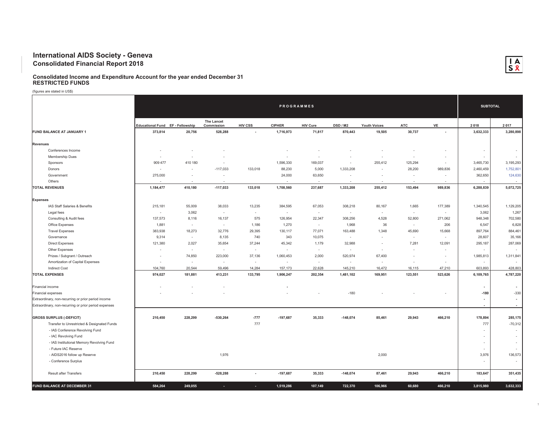# **Consolidated Income and Expenditure Account for the year ended December 31 RESTRICTED FUNDS**

(figures are stated in US\$)

|                                                       |                                  |           |                   |                          |                          | <b>PROGRAMMES</b>        |            |                          |            |                          | <b>SUBTOTAL</b>          |                             |
|-------------------------------------------------------|----------------------------------|-----------|-------------------|--------------------------|--------------------------|--------------------------|------------|--------------------------|------------|--------------------------|--------------------------|-----------------------------|
|                                                       |                                  |           | <b>The Lancet</b> |                          |                          |                          |            |                          |            |                          |                          |                             |
|                                                       | Educational Fund EF - Fellowship |           | Commission        | <b>HIV CSS</b>           | <b>CIPHER</b>            | <b>HIV Cure</b>          | DSD / M2   | <b>Youth Voices</b>      | <b>ATC</b> | VE                       | 2018                     | 2017                        |
| FUND BALANCE AT JANUARY 1                             | 373,814                          | 20,756    | 528,288           | $\overline{\phantom{a}}$ | 1,716,973                | 71,817                   | 870,443    | 19,505                   | 30,737     |                          | 3,632,333                | 3,280,898                   |
| <b>Revenues</b>                                       |                                  |           |                   |                          |                          |                          |            |                          |            |                          |                          |                             |
| Conferences Income                                    |                                  |           |                   |                          | $\overline{\phantom{a}}$ |                          |            | $\overline{\phantom{a}}$ |            |                          | $\overline{\phantom{a}}$ | $\sim$                      |
| Membership Dues                                       |                                  |           |                   |                          | $\sim$                   | $\overline{\phantom{a}}$ |            | $\sim$                   | $\sim$     | $\overline{\phantom{a}}$ | ٠                        | $\sim$                      |
| Sponsors                                              | 909 477                          | 410 180   | $\sim$            |                          | 1,596,330                | 169,037                  | $\sim$     | 255,412                  | 125,294    | $\sim$                   | 3,465,730                | 3,195,293                   |
| Donors                                                | $\sim$                           | $\sim$    | $-117,033$        | 133,018                  | 88,230                   | 5,000                    | 1,333,208  | $\overline{\phantom{a}}$ | 28,200     | 989,836                  | 2,460,459                | 1,752,801                   |
| Government                                            | 275,000                          | $\bar{a}$ | $\sim$            |                          | 24,000                   | 63,650                   | $\sim$     | $\sim$                   | $\sim$     | $\sim$                   | 362,650                  | 124,630                     |
| Others                                                |                                  |           |                   |                          |                          |                          |            |                          |            |                          |                          |                             |
| <b>TOTAL REVENUES</b>                                 | 1,184,477                        | 410,180   | $-117,033$        | 133,018                  | 1,708,560                | 237,687                  | 1,333,208  | 255,412                  | 153,494    | 989,836                  | 6,288,839                | 5,072,725                   |
| <b>Expenses</b>                                       |                                  |           |                   |                          |                          |                          |            |                          |            |                          |                          |                             |
| IAS Staff Salaries & Benefits                         | 215,181                          | 55,009    | 38,033            | 13,235                   | 384,595                  | 67,053                   | 308,218    | 80,167                   | 1,665      | 177,389                  | 1,340,545                | 1,129,205                   |
| Legal fees                                            | $\sim$                           | 3,062     | $\sim$            | $\sim$                   | $\sim$                   | $\sim$                   | $\sim$     | $\blacksquare$           | $\sim$     | $\sim$                   | 3,062                    | 1,267                       |
| Consulting & Audit fees                               | 137,573                          | 8,116     | 16,137            | 575                      | 126,954                  | 22,347                   | 308,256    | 4,528                    | 52,800     | 271,062                  | 948,348                  | 702,580                     |
| Office Expenses                                       | 1,881                            | $\sim$    | $\sim$            | 1,186                    | 1,270                    | $\sim$                   | 1,968      | 36                       | $\sim$     | 206                      | 6,547                    | 6,828                       |
| <b>Travel Expenses</b>                                | 383,938                          | 18,273    | 32,776            | 29,395                   | 130,117                  | 77,071                   | 163,488    | 1,348                    | 45,690     | 15,668                   | 897,764                  | 884,461                     |
| Governance                                            | 9,314                            | $\sim$    | 8,135             | 740                      | 343                      | 10,075                   | $\sim$     | $\sim$                   | $\sim$     | $\sim$                   | 28,607                   | 35,166                      |
| <b>Direct Expenses</b>                                | 121,380                          | 2,027     | 35,654            | 37,244                   | 45,342                   | 1,179                    | 32,988     | $\sim$                   | 7,281      | 12,091                   | 295,187                  | 287,069                     |
| Other Expenses                                        |                                  | $\sim$    | $\sim$            | $\sim$                   | $\sim$                   | $\sim$                   | $\sim$     | $\sim$                   | $\sim$     |                          | $\sim$                   | $\sim$                      |
| Prizes / Subgrant / Outreach                          | $\sim$                           | 74,850    | 223,000           | 37,136                   | 1,060,453                | 2,000                    | 520,974    | 67,400                   | $\sim$     | $\sim$                   | 1,985,813                | 1,311,841                   |
| Amortization of Capital Expenses                      |                                  | $\sim$    | $\sim$            | $\sim$                   | $\overline{\phantom{a}}$ | $\sim$                   | $\sim$     | $\sim$                   | $\sim$     |                          | ٠                        | $\overline{a}$              |
| <b>Indirect Cost</b>                                  | 104,760                          | 20,544    | 59.496            | 14,284                   | 157,173                  | 22,628                   | 145,210    | 16,472                   | 16,115     | 47,210                   | 603,893                  | 428,803                     |
| <b>TOTAL EXPENSES</b>                                 | 974,027                          | 181,881   | 413,231           | 133,795                  | 1,906,247                | 202,354                  | 1,481,102  | 169,951                  | 123,551    | 523,626                  | 6,109,765                | 4,787,220                   |
| Financial income                                      |                                  |           |                   |                          |                          |                          |            |                          |            |                          | ٠                        | $\sim$                      |
| Financial expenses                                    |                                  |           |                   |                          |                          |                          | $-180$     |                          |            |                          | $-180$                   | $-330$                      |
| Extraordinary, non-recurring or prior period income   |                                  |           |                   |                          |                          |                          |            |                          |            |                          | $\overline{\phantom{a}}$ | $\sim$                      |
| Extraordinary, non-recurring or prior period expenses |                                  |           |                   |                          |                          |                          |            |                          |            |                          | $\overline{\phantom{a}}$ | $\overline{a}$              |
| <b>GROSS SURPLUS (-DEFICIT)</b>                       | 210,450                          | 228,299   | $-530,264$        | $-777$                   | $-197,687$               | 35,333                   | $-148,074$ | 85,461                   | 29,943     | 466,210                  | 178,894                  | 285,175                     |
| Transfer to Unrestricted & Designated Funds           |                                  |           |                   | 777                      |                          |                          |            |                          |            |                          | 777                      | $-70,312$                   |
| - IAS Conference Revolving Fund                       |                                  |           |                   |                          |                          |                          |            |                          |            |                          | $\sim$                   | $\sim$                      |
| - IAC Revolving Fund                                  |                                  |           |                   |                          |                          |                          |            |                          |            |                          | $\bar{a}$                | $\sim$                      |
| - IAS Institutional Memory Revolving Fund             |                                  |           |                   |                          |                          |                          |            |                          |            |                          | $\overline{\phantom{a}}$ | $\sim$                      |
| - Future IAC Reserve                                  |                                  |           |                   |                          |                          |                          |            |                          |            |                          | $\overline{\phantom{a}}$ | $\sim$                      |
| - AIDS2016 follow up Reserve                          |                                  |           | 1,976             |                          |                          |                          |            | 2,000                    |            |                          | 3,976                    | 136,573                     |
| - Conference Surplus                                  |                                  |           |                   |                          |                          |                          |            |                          |            |                          | $\bar{a}$                | $\mathcal{L}_{\mathcal{A}}$ |
| <b>Result after Transfers</b>                         | 210,450                          | 228,299   | $-528,288$        | $\sim$                   | $-197,687$               | 35,333                   | $-148,074$ | 87,461                   | 29,943     | 466,210                  | 183,647                  | 351,435                     |
|                                                       |                                  |           |                   |                          |                          |                          |            |                          |            |                          |                          |                             |
| <b>FUND BALANCE AT DECEMBER 31</b>                    | 584,264                          | 249,055   | ъ.                | н.                       | 1,519,286                | 107,149                  | 722,370    | 106,966                  | 60,680     | 466,210                  | 3,815,980                | 3.632.333                   |

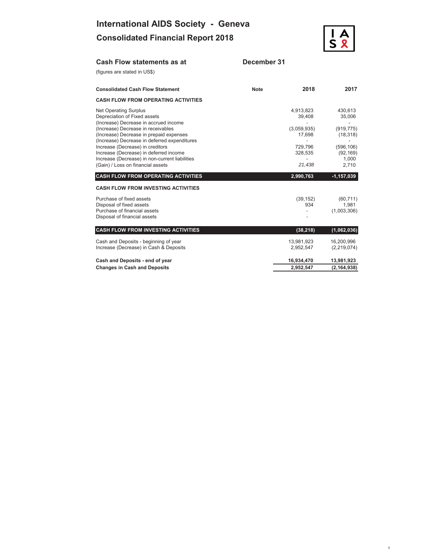# **Consolidated Financial Report 2018**



8

| <b>Cash Flow statements as at</b>                                                                                          | December 31 |                         |                                   |  |  |
|----------------------------------------------------------------------------------------------------------------------------|-------------|-------------------------|-----------------------------------|--|--|
| (figures are stated in US\$)                                                                                               |             |                         |                                   |  |  |
| <b>Consolidated Cash Flow Statement</b>                                                                                    | <b>Note</b> | 2018                    | 2017                              |  |  |
| <b>CASH FLOW FROM OPERATING ACTIVITIES</b>                                                                                 |             |                         |                                   |  |  |
| <b>Net Operating Surplus</b><br>Depreciation of Fixed assets<br>(Increase) Decrease in accrued income                      |             | 4,913,823<br>39,408     | 430,613<br>35,006                 |  |  |
| (Increase) Decrease in receivables<br>(Increase) Decrease in prepaid expenses                                              |             | (3,059,935)<br>17,698   | (919, 775)<br>(18, 318)           |  |  |
| (Increase) Decrease in deferred expenditures<br>Increase (Decrease) in creditors<br>Increase (Decrease) in deferred income |             | 729,796<br>328,535      | (596, 106)<br>(92, 169)           |  |  |
| Increase (Decrease) in non-current liabilities<br>(Gain) / Loss on financial assets                                        |             | 21,438                  | 1,000<br>2,710                    |  |  |
| <b>CASH FLOW FROM OPERATING ACTIVITIES</b>                                                                                 |             | 2,990,763               | $-1,157,039$                      |  |  |
| <b>CASH FLOW FROM INVESTING ACTIVITIES</b>                                                                                 |             |                         |                                   |  |  |
| Purchase of fixed assets<br>Disposal of fixed assets<br>Purchase of financial assets<br>Disposal of financial assets       |             | (39, 152)<br>934        | (60, 711)<br>1,981<br>(1,003,306) |  |  |
| <b>CASH FLOW FROM INVESTING ACTIVITIES</b>                                                                                 |             | (38, 218)               | (1,062,036)                       |  |  |
| Cash and Deposits - beginning of year<br>Increase (Decrease) in Cash & Deposits                                            |             | 13,981,923<br>2,952,547 | 16,200,996<br>(2, 219, 074)       |  |  |
| Cash and Deposits - end of year                                                                                            |             | 16,934,470              | 13,981,923                        |  |  |
| <b>Changes in Cash and Deposits</b>                                                                                        |             | 2,952,547               | (2, 164, 938)                     |  |  |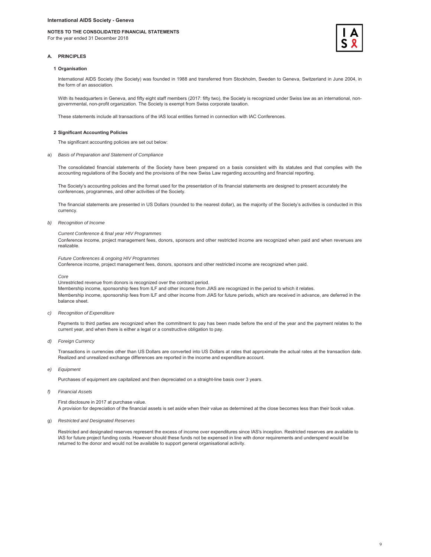# **NOTES TO THE CONSOLIDATED FINANCIAL STATEMENTS**

For the year ended 31 December 2018



#### **A. PRINCIPLES**

#### **1 Organisation**

International AIDS Society (the Society) was founded in 1988 and transferred from Stockholm, Sweden to Geneva, Switzerland in June 2004, in the form of an association.

With its headquarters in Geneva, and fifty eight staff members (2017: fifty two), the Society is recognized under Swiss law as an international, nongovernmental, non-profit organization. The Society is exempt from Swiss corporate taxation.

These statements include all transactions of the IAS local entities formed in connection with IAC Conferences.

#### **2 Significant Accounting Policies**

The significant accounting policies are set out below:

a) *Basis of Preparation and Statement of Compliance*

The consolidated financial statements of the Society have been prepared on a basis consistent with its statutes and that complies with the accounting regulations of the Society and the provisions of the new Swiss Law regarding accounting and financial reporting.

The Society's accounting policies and the format used for the presentation of its financial statements are designed to present accurately the conferences, programmes, and other activities of the Society.

The financial statements are presented in US Dollars (rounded to the nearest dollar), as the majority of the Society's activities is conducted in this currency.

#### *b) Recognition of Income*

#### *Current Conference & final year HIV Programmes*

Conference income, project management fees, donors, sponsors and other restricted income are recognized when paid and when revenues are realizable.

#### *Future Conferences & ongoing HIV Programmes*

Conference income, project management fees, donors, sponsors and other restricted income are recognized when paid.

*Core*

Unrestricted revenue from donors is recognized over the contract period.

Membership income, sponsorship fees from ILF and other income from JIAS for future periods, which are received in advance, are deferred in the balance sheet. Membership income, sponsorship fees from ILF and other income from JIAS are recognized in the period to which it relates.

#### *c) Recognition of Expenditure*

Payments to third parties are recognized when the commitment to pay has been made before the end of the year and the payment relates to the current year, and when there is either a legal or a constructive obligation to pay.

*d) Foreign Currency*

Transactions in currencies other than US Dollars are converted into US Dollars at rates that approximate the actual rates at the transaction date. Realized and unrealized exchange differences are reported in the income and expenditure account.

*e) Equipment*

Purchases of equipment are capitalized and then depreciated on a straight-line basis over 3 years.

*f) Financial Assets*

A provision for depreciation of the financial assets is set aside when their value as determined at the close becomes less than their book value. First disclosure in 2017 at purchase value.

#### g) *Restricted and Designated Reserves*

Restricted and designated reserves represent the excess of income over expenditures since IAS's inception. Restricted reserves are available to IAS for future project funding costs. However should these funds not be expensed in line with donor requirements and underspend would be returned to the donor and would not be available to support general organisational activity.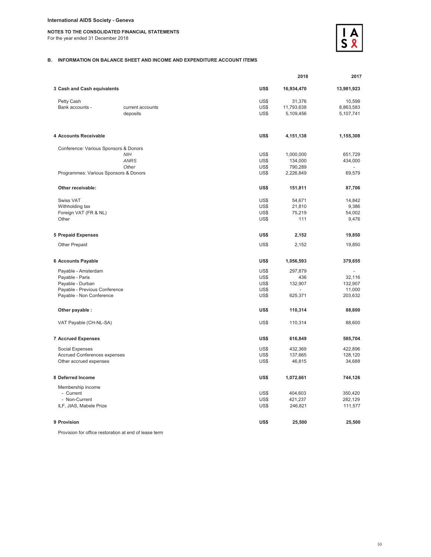### **NOTES TO THE CONSOLIDATED FINANCIAL STATEMENTS** For the year ended 31 December 2018





| US\$<br>3 Cash and Cash equivalents<br>16,934,470<br>13,981,923<br>US\$<br>31,376<br>10,599<br>Petty Cash<br>Bank accounts -<br>US\$<br>11,793,638<br>8,863,583<br>current accounts<br>US\$<br>deposits<br>5,109,456<br>5,107,741<br>4 Accounts Receivable<br>US\$<br>4,151,138<br>1,155,308<br>Conference: Various Sponsors & Donors<br>US\$<br><b>NIH</b><br>1,000,000<br>651,729<br><b>ANRS</b><br>US\$<br>134,000<br>434,000<br>Other<br>US\$<br>790,289<br>Programmes: Various Sponsors & Donors<br>US\$<br>69,579<br>2,226,849<br>US\$<br>Other receivable:<br>151,811<br>87,706<br>Swiss VAT<br>US\$<br>54,671<br>14,842<br>Withholding tax<br>US\$<br>21,810<br>9,386<br>Foreign VAT (FR & NL)<br>US\$<br>75,219<br>54,002<br>9,476<br>Other<br>US\$<br>111<br>US\$<br>2,152<br>19,850<br><b>5 Prepaid Expenses</b><br><b>Other Prepaid</b><br>US\$<br>2,152<br>19,850<br><b>6 Accounts Payable</b><br>US\$<br>1,056,593<br>379,655<br>US\$<br>297,879<br>Payable - Amsterdam<br>Payable - Paris<br>US\$<br>436<br>32,116<br>US\$<br>Payable - Durban<br>132,907<br>132,907<br>US\$<br>Payable - Previous Conference<br>11,000<br>Payable - Non Conference<br>US\$<br>203,632<br>625,371<br>US\$<br>88,600<br>Other payable :<br>110,314<br>US\$<br>88,600<br>VAT Payable (CH-NL-SA)<br>110,314<br>US\$<br>585,704<br><b>7 Accrued Expenses</b><br>616,849<br>US\$<br>422,896<br>Social Expenses<br>432,369<br>US\$<br><b>Accrued Conferences expenses</b><br>137,665<br>128,120<br>US\$<br>34,688<br>Other accrued expenses<br>46,815<br>8 Deferred Income<br>US\$<br>1,072,661<br>744,126<br>Membership income<br>- Current<br>US\$<br>404,603<br>350,420<br>- Non-Current<br>US\$<br>282,129<br>421,237<br>US\$<br>ILF, JIAS, Mabele Prize<br>111,577<br>246,821<br>9 Provision<br>US\$<br>25,500<br>25,500 |  | 2018 | 2017 |
|------------------------------------------------------------------------------------------------------------------------------------------------------------------------------------------------------------------------------------------------------------------------------------------------------------------------------------------------------------------------------------------------------------------------------------------------------------------------------------------------------------------------------------------------------------------------------------------------------------------------------------------------------------------------------------------------------------------------------------------------------------------------------------------------------------------------------------------------------------------------------------------------------------------------------------------------------------------------------------------------------------------------------------------------------------------------------------------------------------------------------------------------------------------------------------------------------------------------------------------------------------------------------------------------------------------------------------------------------------------------------------------------------------------------------------------------------------------------------------------------------------------------------------------------------------------------------------------------------------------------------------------------------------------------------------------------------------------------------------------------------------------------------------------------------------------------|--|------|------|
|                                                                                                                                                                                                                                                                                                                                                                                                                                                                                                                                                                                                                                                                                                                                                                                                                                                                                                                                                                                                                                                                                                                                                                                                                                                                                                                                                                                                                                                                                                                                                                                                                                                                                                                                                                                                                        |  |      |      |
|                                                                                                                                                                                                                                                                                                                                                                                                                                                                                                                                                                                                                                                                                                                                                                                                                                                                                                                                                                                                                                                                                                                                                                                                                                                                                                                                                                                                                                                                                                                                                                                                                                                                                                                                                                                                                        |  |      |      |
|                                                                                                                                                                                                                                                                                                                                                                                                                                                                                                                                                                                                                                                                                                                                                                                                                                                                                                                                                                                                                                                                                                                                                                                                                                                                                                                                                                                                                                                                                                                                                                                                                                                                                                                                                                                                                        |  |      |      |
|                                                                                                                                                                                                                                                                                                                                                                                                                                                                                                                                                                                                                                                                                                                                                                                                                                                                                                                                                                                                                                                                                                                                                                                                                                                                                                                                                                                                                                                                                                                                                                                                                                                                                                                                                                                                                        |  |      |      |
|                                                                                                                                                                                                                                                                                                                                                                                                                                                                                                                                                                                                                                                                                                                                                                                                                                                                                                                                                                                                                                                                                                                                                                                                                                                                                                                                                                                                                                                                                                                                                                                                                                                                                                                                                                                                                        |  |      |      |
|                                                                                                                                                                                                                                                                                                                                                                                                                                                                                                                                                                                                                                                                                                                                                                                                                                                                                                                                                                                                                                                                                                                                                                                                                                                                                                                                                                                                                                                                                                                                                                                                                                                                                                                                                                                                                        |  |      |      |
|                                                                                                                                                                                                                                                                                                                                                                                                                                                                                                                                                                                                                                                                                                                                                                                                                                                                                                                                                                                                                                                                                                                                                                                                                                                                                                                                                                                                                                                                                                                                                                                                                                                                                                                                                                                                                        |  |      |      |
|                                                                                                                                                                                                                                                                                                                                                                                                                                                                                                                                                                                                                                                                                                                                                                                                                                                                                                                                                                                                                                                                                                                                                                                                                                                                                                                                                                                                                                                                                                                                                                                                                                                                                                                                                                                                                        |  |      |      |
|                                                                                                                                                                                                                                                                                                                                                                                                                                                                                                                                                                                                                                                                                                                                                                                                                                                                                                                                                                                                                                                                                                                                                                                                                                                                                                                                                                                                                                                                                                                                                                                                                                                                                                                                                                                                                        |  |      |      |
|                                                                                                                                                                                                                                                                                                                                                                                                                                                                                                                                                                                                                                                                                                                                                                                                                                                                                                                                                                                                                                                                                                                                                                                                                                                                                                                                                                                                                                                                                                                                                                                                                                                                                                                                                                                                                        |  |      |      |
|                                                                                                                                                                                                                                                                                                                                                                                                                                                                                                                                                                                                                                                                                                                                                                                                                                                                                                                                                                                                                                                                                                                                                                                                                                                                                                                                                                                                                                                                                                                                                                                                                                                                                                                                                                                                                        |  |      |      |
|                                                                                                                                                                                                                                                                                                                                                                                                                                                                                                                                                                                                                                                                                                                                                                                                                                                                                                                                                                                                                                                                                                                                                                                                                                                                                                                                                                                                                                                                                                                                                                                                                                                                                                                                                                                                                        |  |      |      |
|                                                                                                                                                                                                                                                                                                                                                                                                                                                                                                                                                                                                                                                                                                                                                                                                                                                                                                                                                                                                                                                                                                                                                                                                                                                                                                                                                                                                                                                                                                                                                                                                                                                                                                                                                                                                                        |  |      |      |
|                                                                                                                                                                                                                                                                                                                                                                                                                                                                                                                                                                                                                                                                                                                                                                                                                                                                                                                                                                                                                                                                                                                                                                                                                                                                                                                                                                                                                                                                                                                                                                                                                                                                                                                                                                                                                        |  |      |      |
|                                                                                                                                                                                                                                                                                                                                                                                                                                                                                                                                                                                                                                                                                                                                                                                                                                                                                                                                                                                                                                                                                                                                                                                                                                                                                                                                                                                                                                                                                                                                                                                                                                                                                                                                                                                                                        |  |      |      |
|                                                                                                                                                                                                                                                                                                                                                                                                                                                                                                                                                                                                                                                                                                                                                                                                                                                                                                                                                                                                                                                                                                                                                                                                                                                                                                                                                                                                                                                                                                                                                                                                                                                                                                                                                                                                                        |  |      |      |
|                                                                                                                                                                                                                                                                                                                                                                                                                                                                                                                                                                                                                                                                                                                                                                                                                                                                                                                                                                                                                                                                                                                                                                                                                                                                                                                                                                                                                                                                                                                                                                                                                                                                                                                                                                                                                        |  |      |      |
|                                                                                                                                                                                                                                                                                                                                                                                                                                                                                                                                                                                                                                                                                                                                                                                                                                                                                                                                                                                                                                                                                                                                                                                                                                                                                                                                                                                                                                                                                                                                                                                                                                                                                                                                                                                                                        |  |      |      |
|                                                                                                                                                                                                                                                                                                                                                                                                                                                                                                                                                                                                                                                                                                                                                                                                                                                                                                                                                                                                                                                                                                                                                                                                                                                                                                                                                                                                                                                                                                                                                                                                                                                                                                                                                                                                                        |  |      |      |
|                                                                                                                                                                                                                                                                                                                                                                                                                                                                                                                                                                                                                                                                                                                                                                                                                                                                                                                                                                                                                                                                                                                                                                                                                                                                                                                                                                                                                                                                                                                                                                                                                                                                                                                                                                                                                        |  |      |      |
|                                                                                                                                                                                                                                                                                                                                                                                                                                                                                                                                                                                                                                                                                                                                                                                                                                                                                                                                                                                                                                                                                                                                                                                                                                                                                                                                                                                                                                                                                                                                                                                                                                                                                                                                                                                                                        |  |      |      |
|                                                                                                                                                                                                                                                                                                                                                                                                                                                                                                                                                                                                                                                                                                                                                                                                                                                                                                                                                                                                                                                                                                                                                                                                                                                                                                                                                                                                                                                                                                                                                                                                                                                                                                                                                                                                                        |  |      |      |
|                                                                                                                                                                                                                                                                                                                                                                                                                                                                                                                                                                                                                                                                                                                                                                                                                                                                                                                                                                                                                                                                                                                                                                                                                                                                                                                                                                                                                                                                                                                                                                                                                                                                                                                                                                                                                        |  |      |      |
|                                                                                                                                                                                                                                                                                                                                                                                                                                                                                                                                                                                                                                                                                                                                                                                                                                                                                                                                                                                                                                                                                                                                                                                                                                                                                                                                                                                                                                                                                                                                                                                                                                                                                                                                                                                                                        |  |      |      |
|                                                                                                                                                                                                                                                                                                                                                                                                                                                                                                                                                                                                                                                                                                                                                                                                                                                                                                                                                                                                                                                                                                                                                                                                                                                                                                                                                                                                                                                                                                                                                                                                                                                                                                                                                                                                                        |  |      |      |
|                                                                                                                                                                                                                                                                                                                                                                                                                                                                                                                                                                                                                                                                                                                                                                                                                                                                                                                                                                                                                                                                                                                                                                                                                                                                                                                                                                                                                                                                                                                                                                                                                                                                                                                                                                                                                        |  |      |      |
|                                                                                                                                                                                                                                                                                                                                                                                                                                                                                                                                                                                                                                                                                                                                                                                                                                                                                                                                                                                                                                                                                                                                                                                                                                                                                                                                                                                                                                                                                                                                                                                                                                                                                                                                                                                                                        |  |      |      |
|                                                                                                                                                                                                                                                                                                                                                                                                                                                                                                                                                                                                                                                                                                                                                                                                                                                                                                                                                                                                                                                                                                                                                                                                                                                                                                                                                                                                                                                                                                                                                                                                                                                                                                                                                                                                                        |  |      |      |
|                                                                                                                                                                                                                                                                                                                                                                                                                                                                                                                                                                                                                                                                                                                                                                                                                                                                                                                                                                                                                                                                                                                                                                                                                                                                                                                                                                                                                                                                                                                                                                                                                                                                                                                                                                                                                        |  |      |      |
|                                                                                                                                                                                                                                                                                                                                                                                                                                                                                                                                                                                                                                                                                                                                                                                                                                                                                                                                                                                                                                                                                                                                                                                                                                                                                                                                                                                                                                                                                                                                                                                                                                                                                                                                                                                                                        |  |      |      |
|                                                                                                                                                                                                                                                                                                                                                                                                                                                                                                                                                                                                                                                                                                                                                                                                                                                                                                                                                                                                                                                                                                                                                                                                                                                                                                                                                                                                                                                                                                                                                                                                                                                                                                                                                                                                                        |  |      |      |
|                                                                                                                                                                                                                                                                                                                                                                                                                                                                                                                                                                                                                                                                                                                                                                                                                                                                                                                                                                                                                                                                                                                                                                                                                                                                                                                                                                                                                                                                                                                                                                                                                                                                                                                                                                                                                        |  |      |      |
|                                                                                                                                                                                                                                                                                                                                                                                                                                                                                                                                                                                                                                                                                                                                                                                                                                                                                                                                                                                                                                                                                                                                                                                                                                                                                                                                                                                                                                                                                                                                                                                                                                                                                                                                                                                                                        |  |      |      |
|                                                                                                                                                                                                                                                                                                                                                                                                                                                                                                                                                                                                                                                                                                                                                                                                                                                                                                                                                                                                                                                                                                                                                                                                                                                                                                                                                                                                                                                                                                                                                                                                                                                                                                                                                                                                                        |  |      |      |
|                                                                                                                                                                                                                                                                                                                                                                                                                                                                                                                                                                                                                                                                                                                                                                                                                                                                                                                                                                                                                                                                                                                                                                                                                                                                                                                                                                                                                                                                                                                                                                                                                                                                                                                                                                                                                        |  |      |      |
|                                                                                                                                                                                                                                                                                                                                                                                                                                                                                                                                                                                                                                                                                                                                                                                                                                                                                                                                                                                                                                                                                                                                                                                                                                                                                                                                                                                                                                                                                                                                                                                                                                                                                                                                                                                                                        |  |      |      |

Provision for office restoration at end of lease term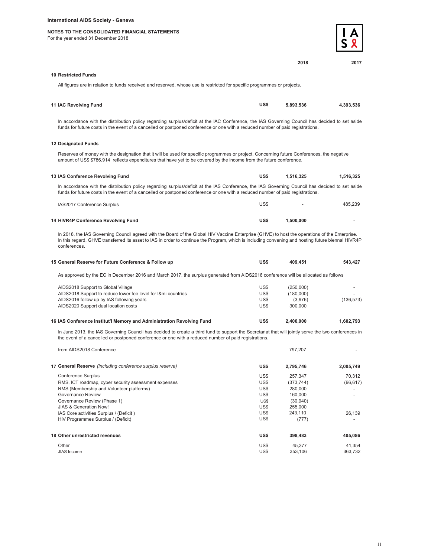| NOTES TO THE CONSOLIDATED FINANCIAL STATEMENTS                                                                                                                                                                                                                                                                       |  |              |                      |                          |  |  |  |  |
|----------------------------------------------------------------------------------------------------------------------------------------------------------------------------------------------------------------------------------------------------------------------------------------------------------------------|--|--------------|----------------------|--------------------------|--|--|--|--|
| For the year ended 31 December 2018                                                                                                                                                                                                                                                                                  |  |              |                      |                          |  |  |  |  |
|                                                                                                                                                                                                                                                                                                                      |  |              |                      |                          |  |  |  |  |
|                                                                                                                                                                                                                                                                                                                      |  |              | 2018                 | 2017                     |  |  |  |  |
| <b>10 Restricted Funds</b>                                                                                                                                                                                                                                                                                           |  |              |                      |                          |  |  |  |  |
| All figures are in relation to funds received and reserved, whose use is restricted for specific programmes or projects.                                                                                                                                                                                             |  |              |                      |                          |  |  |  |  |
| 11 IAC Revolving Fund                                                                                                                                                                                                                                                                                                |  | US\$         | 5,893,536            | 4,393,536                |  |  |  |  |
|                                                                                                                                                                                                                                                                                                                      |  |              |                      |                          |  |  |  |  |
| In accordance with the distribution policy regarding surplus/deficit at the IAC Conference, the IAS Governing Council has decided to set aside<br>funds for future costs in the event of a cancelled or postponed conference or one with a reduced number of paid registrations.                                     |  |              |                      |                          |  |  |  |  |
| <b>12 Designated Funds</b>                                                                                                                                                                                                                                                                                           |  |              |                      |                          |  |  |  |  |
| Reserves of money with the designation that it will be used for specific programmes or project. Concerning future Conferences, the negative<br>amount of US\$ \$786,914 reflects expenditures that have yet to be covered by the income from the future conference.                                                  |  |              |                      |                          |  |  |  |  |
| 13 IAS Conference Revolving Fund                                                                                                                                                                                                                                                                                     |  | US\$         | 1,516,325            | 1,516,325                |  |  |  |  |
| In accordance with the distribution policy regarding surplus/deficit at the IAS Conference, the IAS Governing Council has decided to set aside<br>funds for future costs in the event of a cancelled or postponed conference or one with a reduced number of paid registrations.                                     |  |              |                      |                          |  |  |  |  |
| IAS2017 Conference Surplus                                                                                                                                                                                                                                                                                           |  | US\$         |                      | 485,239                  |  |  |  |  |
| 14 HIVR4P Conference Revolving Fund                                                                                                                                                                                                                                                                                  |  | US\$         | 1,500,000            |                          |  |  |  |  |
| In 2018, the IAS Governing Council agreed with the Board of the Global HIV Vaccine Enterprise (GHVE) to host the operations of the Enterprise.<br>In this regard, GHVE transferred its asset to IAS in order to continue the Program, which is including convening and hosting future biennal HIVR4P<br>conferences. |  |              |                      |                          |  |  |  |  |
| 15 General Reserve for Future Conference & Follow up                                                                                                                                                                                                                                                                 |  | US\$         | 409,451              | 543,427                  |  |  |  |  |
| As approved by the EC in December 2016 and March 2017, the surplus generated from AIDS2016 conference will be allocated as follows                                                                                                                                                                                   |  |              |                      |                          |  |  |  |  |
| AIDS2018 Support to Global Village                                                                                                                                                                                                                                                                                   |  | US\$         | (250,000)            |                          |  |  |  |  |
| AIDS2018 Support to reduce lower fee level for I&mi countries                                                                                                                                                                                                                                                        |  | US\$         | (180,000)            |                          |  |  |  |  |
| AIDS2016 follow up by IAS following years                                                                                                                                                                                                                                                                            |  | US\$         | (3,976)              | (136, 573)               |  |  |  |  |
| AIDS2020 Support dual location costs                                                                                                                                                                                                                                                                                 |  | US\$         | 300,000              |                          |  |  |  |  |
| 16 IAS Conference Institut'l Memory and Administration Revolving Fund                                                                                                                                                                                                                                                |  | US\$         | 2,400,000            | 1,602,793                |  |  |  |  |
| In June 2013, the IAS Governing Council has decided to create a third fund to support the Secretariat that will jointly serve the two conferences in<br>the event of a cancelled or postponed conference or one with a reduced number of paid registrations.                                                         |  |              |                      |                          |  |  |  |  |
| from AIDS2018 Conference                                                                                                                                                                                                                                                                                             |  |              | 797,207              | $\overline{\phantom{a}}$ |  |  |  |  |
| 17 General Reserve (including conference surplus reserve)                                                                                                                                                                                                                                                            |  | US\$         | 2,795,746            | 2,005,749                |  |  |  |  |
| Conference Surplus                                                                                                                                                                                                                                                                                                   |  | US\$         | 257,347              | 70,312                   |  |  |  |  |
| RMS, ICT roadmap, cyber security assessment expenses                                                                                                                                                                                                                                                                 |  | US\$         | (373, 744)           | (96, 617)                |  |  |  |  |
| RMS (Membership and Volunteer platforms)                                                                                                                                                                                                                                                                             |  | US\$         | 280,000              |                          |  |  |  |  |
| <b>Governance Review</b><br>Governance Review (Phase 1)                                                                                                                                                                                                                                                              |  | US\$<br>US\$ | 160,000<br>(30, 940) |                          |  |  |  |  |
| JIAS & Generation Now!                                                                                                                                                                                                                                                                                               |  | US\$         | 255,000              |                          |  |  |  |  |
| IAS Core activities Surplus / (Deficit)                                                                                                                                                                                                                                                                              |  | US\$         | 243,110              | 26,139                   |  |  |  |  |
| HIV Programmes Surplus / (Deficit)                                                                                                                                                                                                                                                                                   |  | US\$         | (777)                |                          |  |  |  |  |
| 18 Other unrestricted revenues                                                                                                                                                                                                                                                                                       |  | US\$         | 398,483              | 405,086                  |  |  |  |  |
| Other                                                                                                                                                                                                                                                                                                                |  | US\$         | 45,377               | 41,354                   |  |  |  |  |
| JIAS Income                                                                                                                                                                                                                                                                                                          |  | US\$         | 353,106              | 363,732                  |  |  |  |  |
|                                                                                                                                                                                                                                                                                                                      |  |              |                      |                          |  |  |  |  |

п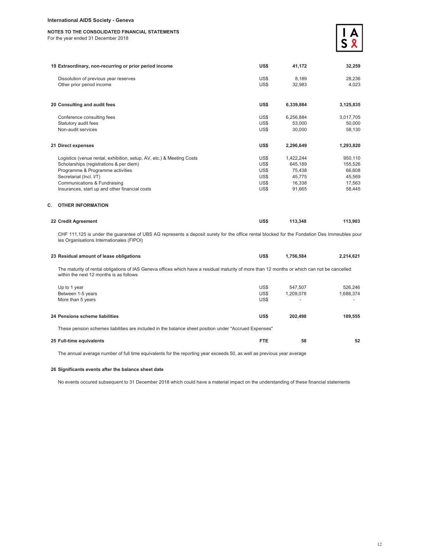### **NOTES TO THE CONSOLIDATED FINANCIAL STATEMENTS** For the year ended 31 December 2018



| 19 Extraordinary, non-recurring or prior period income                                                                                                                                   | US\$ | 41.172    | 32,259    |
|------------------------------------------------------------------------------------------------------------------------------------------------------------------------------------------|------|-----------|-----------|
| Dissolution of previous year reserves                                                                                                                                                    | US\$ | 8.189     | 28,236    |
| Other prior period income                                                                                                                                                                | US\$ | 32,983    | 4,023     |
| 20 Consulting and audit fees                                                                                                                                                             | US\$ | 6,339,884 | 3,125,835 |
| Conference consulting fees                                                                                                                                                               | US\$ | 6,256,884 | 3,017,705 |
| Statutory audit fees                                                                                                                                                                     | US\$ | 53,000    | 50,000    |
| Non-audit services                                                                                                                                                                       | US\$ | 30,000    | 58,130    |
| 21 Direct expenses                                                                                                                                                                       | US\$ | 2,296,649 | 1,293,820 |
| Logistics (venue rental, exhibition, setup, AV, etc.) & Meeting Costs                                                                                                                    | US\$ | 1,422,244 | 950,110   |
| Scholarships (registrations & per diem)                                                                                                                                                  | US\$ | 645.189   | 155,526   |
| Programme & Programme activities                                                                                                                                                         | US\$ | 75.438    | 66,608    |
| Secretariat (Incl. I/T)                                                                                                                                                                  | US\$ | 45.775    | 45,569    |
| Communications & Fundraising                                                                                                                                                             | US\$ | 16,338    | 17,563    |
| Insurances, start up and other financial costs                                                                                                                                           | US\$ | 91,665    | 58,445    |
| C.<br><b>OTHER INFORMATION</b>                                                                                                                                                           |      |           |           |
| 22 Credit Agreement                                                                                                                                                                      | US\$ | 113,348   | 113,903   |
| CHF 111,125 is under the guarantee of UBS AG represents a deposit surety for the office rental blocked for the Fondation Des Immeubles pour<br>les Organisations Internationales (FIPOI) |      |           |           |
| 23 Residual amount of lease obligations                                                                                                                                                  | US\$ | 1.756.584 | 2.214.621 |

The maturity of rental obligations of IAS Geneva offices which have a residual maturity of more than 12 months or which can not be cancelled within the next 12 months is as follows

| 25 Full-time equivalents                                                                              | <b>FTE</b> | 58                       | 52        |
|-------------------------------------------------------------------------------------------------------|------------|--------------------------|-----------|
| These pension schemes liabilities are included in the balance sheet position under "Accrued Expenses" |            |                          |           |
| 24 Pensions scheme liabilities                                                                        | US\$       | 202.498                  | 189.555   |
| More than 5 years                                                                                     | US\$       | $\overline{\phantom{0}}$ |           |
| Between 1-5 years                                                                                     | US\$       | 1.209.078                | 1,688,374 |
| Up to 1 year                                                                                          | US\$       | 547.507                  | 526.246   |
|                                                                                                       |            |                          |           |

The annual average number of full time equivalents for the reporting year exceeds 50, as well as previous year average

#### **26 Significants events after the balance sheet date**

No events occured subsequent to 31 December 2018 which could have a material impact on the understanding of these financial statements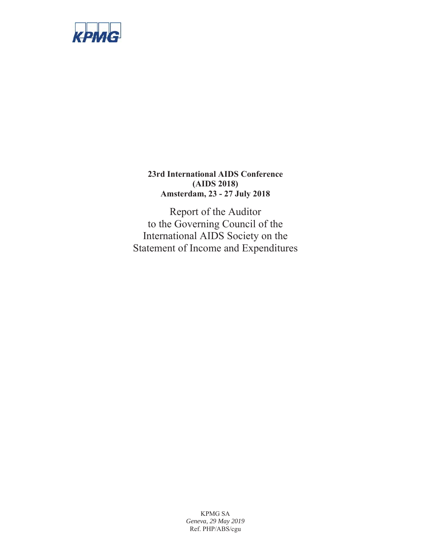

**23rd International AIDS Conference (AIDS 2018) Amsterdam, 23 - 27 July 2018**

Report of the Auditor to the Governing Council of the International AIDS Society on the Statement of Income and Expenditures

> KPMG SA *Geneva, 29 May 2019* Ref. PHP/ABS/cgu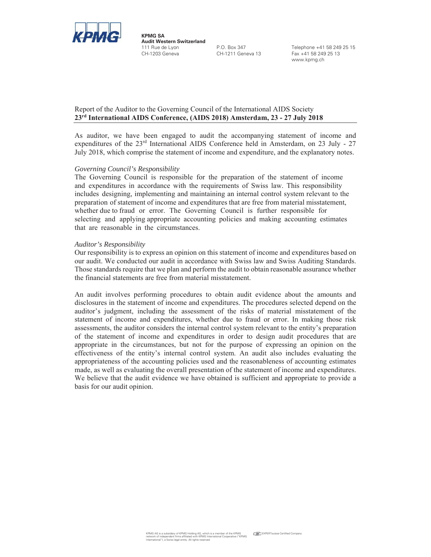

**KPMG SA Audit Western Switzerland** 

111 Rue de Lyon P.O. Box 347 Telephone +41 58 249 25 15 Fax +41 58 249 25 13 www.kpmg.ch

Report of the Auditor to the Governing Council of the International AIDS Society **23rd International AIDS Conference, (AIDS 2018) Amsterdam, 23 - 27 July 2018**

As auditor, we have been engaged to audit the accompanying statement of income and expenditures of the  $23<sup>rd</sup>$  International AIDS Conference held in Amsterdam, on 23 July - 27 July 2018, which comprise the statement of income and expenditure, and the explanatory notes.

### *Governing Council's Responsibility*

The Governing Council is responsible for the preparation of the statement of income and expenditures in accordance with the requirements of Swiss law. This responsibility includes designing, implementing and maintaining an internal control system relevant to the preparation of statement of income and expenditures that are free from material misstatement, whether due to fraud or error. The Governing Council is further responsible for selecting and applying appropriate accounting policies and making accounting estimates that are reasonable in the circumstances.

### *Auditor's Responsibility*

Our responsibility is to express an opinion on this statement of income and expenditures based on our audit. We conducted our audit in accordance with Swiss law and Swiss Auditing Standards. Those standards require that we plan and perform the audit to obtain reasonable assurance whether the financial statements are free from material misstatement.

An audit involves performing procedures to obtain audit evidence about the amounts and disclosures in the statement of income and expenditures. The procedures selected depend on the auditor's judgment, including the assessment of the risks of material misstatement of the statement of income and expenditures, whether due to fraud or error. In making those risk assessments, the auditor considers the internal control system relevant to the entity's preparation of the statement of income and expenditures in order to design audit procedures that are appropriate in the circumstances, but not for the purpose of expressing an opinion on the effectiveness of the entity's internal control system. An audit also includes evaluating the appropriateness of the accounting policies used and the reasonableness of accounting estimates made, as well as evaluating the overall presentation of the statement of income and expenditures. We believe that the audit evidence we have obtained is sufficient and appropriate to provide a basis for our audit opinion.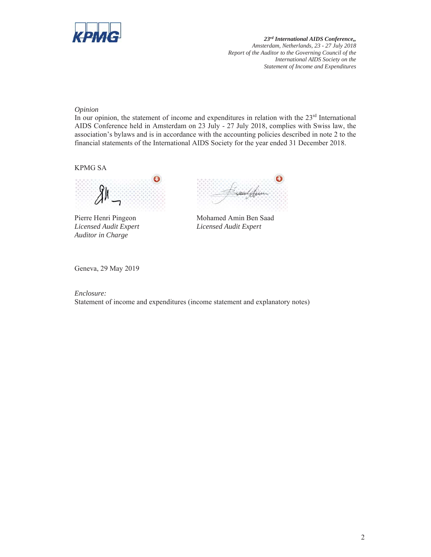

*23rd International AIDS Conference,, Amsterdam, Netherlands, 23 - 27 July 2018 Report of the Auditor to the Governing Council of the International AIDS Society on the Statement of Income and Expenditures*

## *Opinion*

In our opinion, the statement of income and expenditures in relation with the  $23<sup>rd</sup>$  International AIDS Conference held in Amsterdam on 23 July - 27 July 2018, complies with Swiss law, the association's bylaws and is in accordance with the accounting policies described in note 2 to the financial statements of the International AIDS Society for the year ended 31 December 2018.

## KPMG SA



*Licensed Audit Expert Licensed Audit Expert Auditor in Charge*



Pierre Henri Pingeon Mohamed Amin Ben Saad

Geneva, 29 May 2019

### *Enclosure:*

Statement of income and expenditures (income statement and explanatory notes)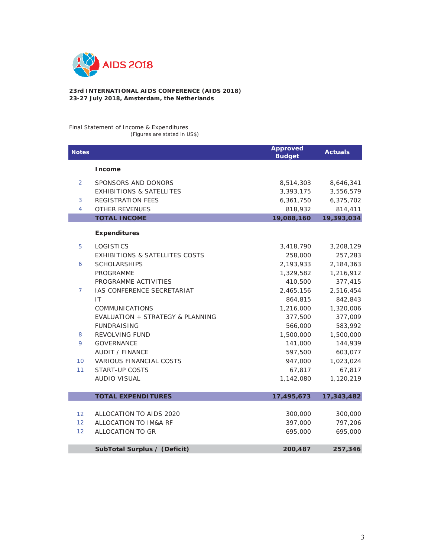

I

I

## **23rd INTERNATIONAL AIDS CONFERENCE (AIDS 2018) 23-27 July 2018, Amsterdam, the Netherlands**

Final Statement of Income & Expenditures *(Figures are stated in US\$)*

| <b>Notes</b>      |                                     | <b>Approved</b><br><b>Budget</b> | <b>Actuals</b> |
|-------------------|-------------------------------------|----------------------------------|----------------|
|                   | Income                              |                                  |                |
| $\overline{2}$    | SPONSORS AND DONORS                 | 8,514,303                        | 8,646,341      |
|                   | <b>EXHIBITIONS &amp; SATELLITES</b> | 3,393,175                        | 3,556,579      |
| 3                 | <b>REGISTRATION FEES</b>            | 6,361,750                        | 6,375,702      |
| $\overline{4}$    | <b>OTHER REVENUES</b>               | 818,932                          | 814,411        |
|                   | <b>TOTAL INCOME</b>                 | 19,088,160                       | 19,393,034     |
|                   | <b>Expenditures</b>                 |                                  |                |
| 5                 | <b>LOGISTICS</b>                    | 3,418,790                        | 3,208,129      |
|                   | EXHIBITIONS & SATELLITES COSTS      | 258,000                          | 257,283        |
| 6                 | <b>SCHOLARSHIPS</b>                 | 2,193,933                        | 2,184,363      |
|                   | <b>PROGRAMME</b>                    | 1,329,582                        | 1,216,912      |
|                   | PROGRAMME ACTIVITIES                | 410,500                          | 377,415        |
| 7                 | <b>IAS CONFERENCE SECRETARIAT</b>   | 2,465,156                        | 2,516,454      |
|                   | IT                                  | 864,815                          | 842,843        |
|                   | <b>COMMUNICATIONS</b>               | 1,216,000                        | 1,320,006      |
|                   | EVALUATION + STRATEGY & PLANNING    | 377,500                          | 377,009        |
|                   | <b>FUNDRAISING</b>                  | 566,000                          | 583,992        |
| 8                 | <b>REVOLVING FUND</b>               | 1,500,000                        | 1,500,000      |
| 9                 | <b>GOVERNANCE</b>                   | 141,000                          | 144,939        |
|                   | AUDIT / FINANCE                     | 597,500                          | 603,077        |
| 10 <sup>°</sup>   | VARIOUS FINANCIAL COSTS             | 947,000                          | 1,023,024      |
| 11                | START-UP COSTS                      | 67,817                           | 67,817         |
|                   | <b>AUDIO VISUAL</b>                 | 1,142,080                        | 1,120,219      |
|                   | <b>TOTAL EXPENDITURES</b>           | 17,495,673                       | 17,343,482     |
| $12 \overline{ }$ | ALLOCATION TO AIDS 2020             | 300,000                          | 300,000        |
| 12                | ALLOCATION TO IM&A RF               | 397,000                          | 797,206        |
| 12                | <b>ALLOCATION TO GR</b>             | 695,000                          | 695,000        |
|                   | SubTotal Surplus / (Deficit)        | 200,487                          | 257,346        |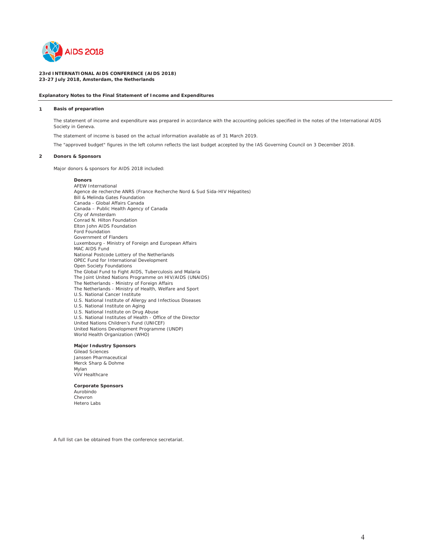

#### **23rd INTERNATIONAL AIDS CONFERENCE (AIDS 2018) 23-27 July 2018, Amsterdam, the Netherlands**

#### **Explanatory Notes to the Final Statement of Income and Expenditures**

#### **1 Basis of preparation**

The statement of income and expenditure was prepared in accordance with the accounting policies specified in the notes of the International AIDS Society in Geneva.

The statement of income is based on the actual information available as of 31 March 2019.

The "approved budget" figures in the left column reflects the last budget accepted by the IAS Governing Council on 3 December 2018.

#### **2 Donors & Sponsors**

Major donors & sponsors for AIDS 2018 included:

#### **Donors**

AFEW International Agence de recherche ANRS (France Recherche Nord & Sud Sida-HIV Hépatites) Bill & Melinda Gates Foundation Canada - Global Affairs Canada Canada – Public Health Agency of Canada City of Amsterdam Conrad N. Hilton Foundation Elton John AIDS Foundation Ford Foundation Government of Flanders Luxembourg - Ministry of Foreign and European Affairs MAC AIDS Fund National Postcode Lottery of the Netherlands OPEC Fund for International Development Open Society Foundations The Global Fund to Fight AIDS, Tuberculosis and Malaria The Joint United Nations Programme on HIV/AIDS (UNAIDS) The Netherlands - Ministry of Foreign Affairs The Netherlands - Ministry of Health, Welfare and Sport U.S. National Cancer Institute U.S. National Institute of Allergy and Infectious Diseases U.S. National Institute on Aging U.S. National Institute on Drug Abuse U.S. National Institutes of Health - Office of the Director United Nations Children's Fund (UNICEF) United Nations Development Programme (UNDP) World Health Organization (WHO) **Major Industry Sponsors**

Gilead Sciences Janssen Pharmaceutical Merck Sharp & Dohme Mylan ViiV Healthcare

Aurobindo Chevron Hetero Labs **Corporate Sponsors**

*A full list can be obtained from the conference secretariat.*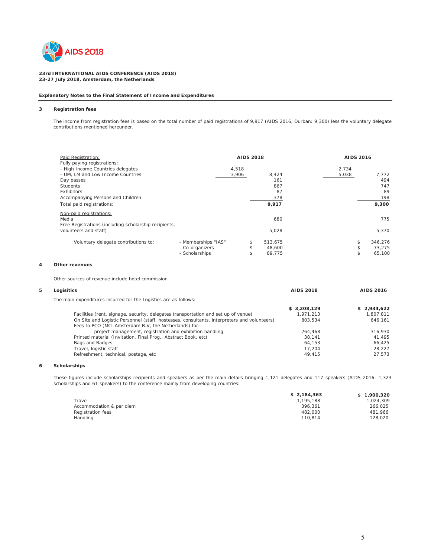

#### **23-27 July 2018, Amsterdam, the Netherlands 23rd INTERNATIONAL AIDS CONFERENCE (AIDS 2018)**

### **Explanatory Notes to the Final Statement of Income and Expenditures**

#### **3 Registration fees**

The income from registration fees is based on the total number of paid registrations of 9,917 (AIDS 2016, Durban: 9,300) less the voluntary delegate contributions mentioned hereunder.

| Paid Registration:                                    |                     |       | <b>AIDS 2018</b> |     | <b>AIDS 2016</b> |               |
|-------------------------------------------------------|---------------------|-------|------------------|-----|------------------|---------------|
| Fully paying registrations:                           |                     |       |                  |     |                  |               |
| - High Income Countries delegates                     |                     | 4.518 |                  |     | 2.734            |               |
| - UM, LM and Low Income Countries                     |                     | 3,906 | 8,424            |     | 5,038            | 7,772         |
| Day passes                                            |                     |       |                  | 161 |                  | 494           |
| Students                                              |                     |       |                  | 867 |                  | 747           |
| Exhibitors                                            |                     |       |                  | 87  |                  | 89            |
| Accompanying Persons and Children                     |                     |       |                  | 378 |                  | 198           |
| Total paid registrations:                             |                     |       | 9,917            |     |                  | 9,300         |
| Non-paid registrations:                               |                     |       |                  |     |                  |               |
| Media                                                 |                     |       |                  | 680 |                  | 775           |
| Free Registrations (including scholarship recipients, |                     |       |                  |     |                  |               |
| volunteers and staff)                                 |                     |       | 5,028            |     |                  | 5,370         |
| Voluntary delegate contributions to:                  | - Memberships "IAS" |       | 513,675<br>\$    |     |                  | \$<br>346,276 |
|                                                       | - Co-organizers     |       | 48,600           |     |                  | 73,275        |
|                                                       | - Scholarships      |       | \$<br>89,775     |     |                  | 65,100<br>\$  |

#### **4 Other revenues**

Other sources of revenue include hotel commission

| Logisitics | <b>AIDS 2018</b> | <b>AIDS 2016</b> |
|------------|------------------|------------------|
|            |                  |                  |

| The main expenditures incurred for the Logistics are as follows:                            |             |             |
|---------------------------------------------------------------------------------------------|-------------|-------------|
|                                                                                             | \$3.208.129 | \$2,934,622 |
| Facilities (rent, signage, security, delegates transportation and set up of venue)          | 1.971.213   | 1,807,811   |
| On Site and Logistic Personnel (staff, hostesses, consultants, interpreters and volunteers) | 803.534     | 646.161     |
| Fees to PCO (MCI Amsterdam B.V, the Netherlands) for:                                       |             |             |
| project management, registration and exhibition handling                                    | 264.468     | 316.930     |
| Printed material (Invitation, Final Prog., Abstract Book, etc)                              | 38.141      | 41.495      |
| Bags and Badges                                                                             | 64.153      | 66.425      |
| Travel, logistic staff                                                                      | 17.204      | 28.227      |
| Refreshment, technical, postage, etc                                                        | 49.415      | 27.573      |

#### **6 Scholarships**

These figures include scholarships recipients and speakers as per the main details bringing 1,121 delegates and 117 speakers (AIDS 2016: 1,323 scholarships and 61 speakers) to the conference mainly from developing countries:

|                          | \$2.184.363 | \$1,900.320 |
|--------------------------|-------------|-------------|
| Travel                   | 1.195.188   | 1,024,309   |
| Accommodation & per diem | 396.361     | 266.025     |
| Registration fees        | 482.000     | 481.966     |
| Handling                 | 110.814     | 128,020     |